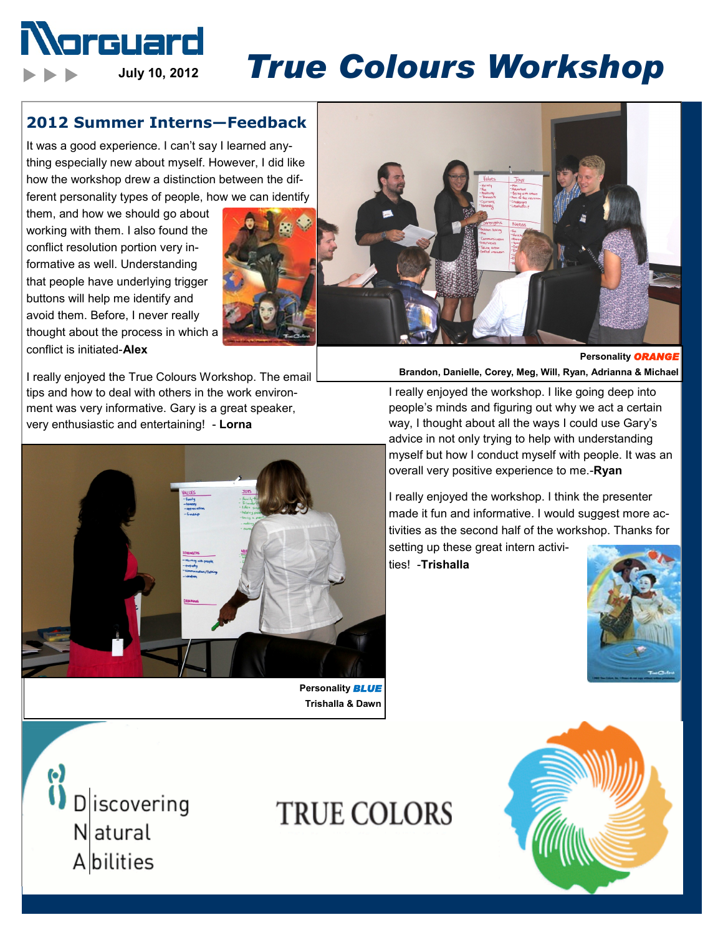

# **July 10, 2012** *True Colours Workshop*

#### **2012 Summer Interns—Feedback**

It was a good experience. I can't say I learned anything especially new about myself. However, I did like how the workshop drew a distinction between the different personality types of people, how we can identify

them, and how we should go about working with them. I also found the conflict resolution portion very informative as well. Understanding that people have underlying trigger buttons will help me identify and avoid them. Before, I never really thought about the process in which a conflict is initiated-**Alex** 



I really enjoyed the True Colours Workshop. The email tips and how to deal with others in the work environment was very informative. Gary is a great speaker, very enthusiastic and entertaining! - **Lorna**



**Personality** *BLUE* **Trishalla & Dawn** 

**TRUE COLORS** 





**Personality ORANG Brandon, Danielle, Corey, Meg, Will, Ryan, Adrianna & Michael**

I really enjoyed the workshop. I like going deep into people's minds and figuring out why we act a certain way, I thought about all the ways I could use Gary's advice in not only trying to help with understanding myself but how I conduct myself with people. It was an overall very positive experience to me.-**Ryan** 

I really enjoyed the workshop. I think the presenter made it fun and informative. I would suggest more activities as the second half of the workshop. Thanks for

setting up these great intern activities! -**Trishalla** 



<sup>(\*)</sup><br>
D | iscovering<br>
N atural Natural Abilities